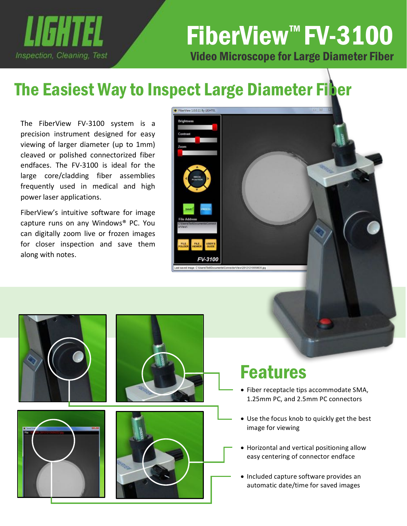

## Video Microscope for Large Diameter Fiber FiberView<sup>™</sup> FV-3100

# The Easiest Way to Inspect Large Diameter Fiber

The FiberView FV-3100 system is a precision instrument designed for easy viewing of larger diameter (up to 1mm) cleaved or polished connectorized fiber endfaces. The FV-3100 is ideal for the large core/cladding fiber assemblies frequently used in medical and high power laser applications.

FiberView's intuitive software for image capture runs on any Windows® PC. You can digitally zoom live or frozen images for closer inspection and save them along with notes.







### Features

- Fiber receptacle tips accommodate SMA, 1.25mm PC, and 2.5mm PC connectors
- Use the focus knob to quickly get the best image for viewing
- Horizontal and vertical positioning allow easy centering of connector endface
- Included capture software provides an automatic date/time for saved images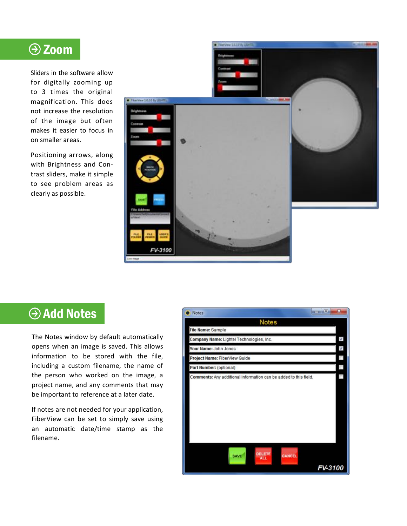#### Zoom

Sliders in the software allow for digitally zooming up to 3 times the original magnification. This does not increase the resolution of the image but often makes it easier to focus in on smaller areas.

Positioning arrows, along with Brightness and Contrast sliders, make it simple to see problem areas as clearly as possible.



#### **Add Notes**

The Notes window by default automatically opens when an image is saved. This allows information to be stored with the file, including a custom filename, the name of the person who worked on the image, a project name, and any comments that may be important to reference at a later date.

If notes are not needed for your application, FiberView can be set to simply save using an automatic date/time stamp as the filename.